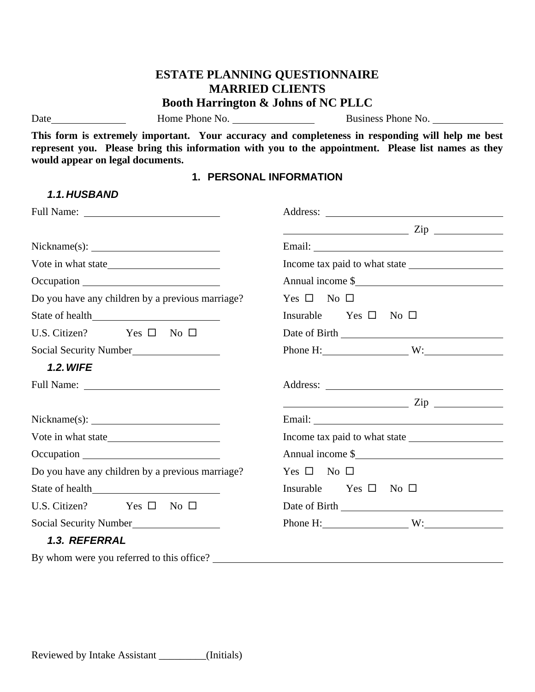# **ESTATE PLANNING QUESTIONNAIRE MARRIED CLIENTS Booth Harrington & Johns of NC PLLC**

*1.1.HUSBAND*

Date Home Phone No. Business Phone No.

**This form is extremely important. Your accuracy and completeness in responding will help me best represent you. Please bring this information with you to the appointment. Please list names as they would appear on legal documents.**

#### **1. PERSONAL INFORMATION**

| Full Name:                                       |                                                                                                                                                                                                                                                                                                                                                                                                                                                                                 |
|--------------------------------------------------|---------------------------------------------------------------------------------------------------------------------------------------------------------------------------------------------------------------------------------------------------------------------------------------------------------------------------------------------------------------------------------------------------------------------------------------------------------------------------------|
|                                                  | $\overline{\phantom{a}}$ $\overline{\phantom{a}}$ $\overline{\phantom{a}}$ $\overline{\phantom{a}}$ $\overline{\phantom{a}}$ $\overline{\phantom{a}}$ $\overline{\phantom{a}}$ $\overline{\phantom{a}}$ $\overline{\phantom{a}}$ $\overline{\phantom{a}}$ $\overline{\phantom{a}}$ $\overline{\phantom{a}}$ $\overline{\phantom{a}}$ $\overline{\phantom{a}}$ $\overline{\phantom{a}}$ $\overline{\phantom{a}}$ $\overline{\phantom{a}}$ $\overline{\phantom{a}}$ $\overline{\$ |
|                                                  |                                                                                                                                                                                                                                                                                                                                                                                                                                                                                 |
|                                                  |                                                                                                                                                                                                                                                                                                                                                                                                                                                                                 |
|                                                  | Annual income \$                                                                                                                                                                                                                                                                                                                                                                                                                                                                |
| Do you have any children by a previous marriage? | Yes $\square$ No $\square$                                                                                                                                                                                                                                                                                                                                                                                                                                                      |
| State of health                                  | Insurable Yes $\square$ No $\square$                                                                                                                                                                                                                                                                                                                                                                                                                                            |
| U.S. Citizen? Yes $\square$ No $\square$         |                                                                                                                                                                                                                                                                                                                                                                                                                                                                                 |
| Social Security Number                           | Phone H: $W:$ W:                                                                                                                                                                                                                                                                                                                                                                                                                                                                |
| <b>1.2. WIFE</b>                                 |                                                                                                                                                                                                                                                                                                                                                                                                                                                                                 |
|                                                  |                                                                                                                                                                                                                                                                                                                                                                                                                                                                                 |
|                                                  | $\frac{1}{\sqrt{1-\frac{1}{2}}\sqrt{1-\frac{1}{2}}\sqrt{1-\frac{1}{2}}\sqrt{1-\frac{1}{2}}\sqrt{1-\frac{1}{2}}\sqrt{1-\frac{1}{2}}\sqrt{1-\frac{1}{2}}\sqrt{1-\frac{1}{2}}\sqrt{1-\frac{1}{2}}\sqrt{1-\frac{1}{2}}\sqrt{1-\frac{1}{2}}\sqrt{1-\frac{1}{2}}\sqrt{1-\frac{1}{2}}\sqrt{1-\frac{1}{2}}\sqrt{1-\frac{1}{2}}\sqrt{1-\frac{1}{2}}\sqrt{1-\frac{1}{2}}\sqrt{1-\frac{1}{2}}\sqrt{1-\frac{1}{2}}\sqrt{1-\frac$                                                            |
|                                                  | Email: No. 1996. The Commission of the Commission of the Commission of the Commission of the Commission of the Commission of the Commission of the Commission of the Commission of the Commission of the Commission of the Com                                                                                                                                                                                                                                                  |
|                                                  | Income tax paid to what state                                                                                                                                                                                                                                                                                                                                                                                                                                                   |
|                                                  | Annual income \$                                                                                                                                                                                                                                                                                                                                                                                                                                                                |
| Do you have any children by a previous marriage? | Yes $\square$ No $\square$                                                                                                                                                                                                                                                                                                                                                                                                                                                      |
|                                                  | Insurable Yes $\square$ No $\square$                                                                                                                                                                                                                                                                                                                                                                                                                                            |
| U.S. Citizen? Yes $\square$ No $\square$         |                                                                                                                                                                                                                                                                                                                                                                                                                                                                                 |
| Social Security Number                           | Phone H: $W:$ W:                                                                                                                                                                                                                                                                                                                                                                                                                                                                |
| 1.3. REFERRAL                                    |                                                                                                                                                                                                                                                                                                                                                                                                                                                                                 |
| By whom were you referred to this office?        |                                                                                                                                                                                                                                                                                                                                                                                                                                                                                 |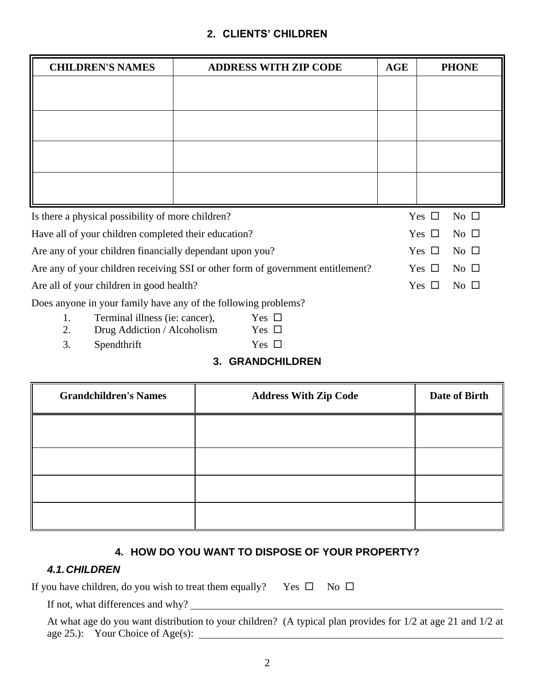### **2. CLIENTS' CHILDREN**

| <b>CHILDREN'S NAMES</b>                                                         | <b>ADDRESS WITH ZIP CODE</b> |  | <b>AGE</b>                    | <b>PHONE</b>                  |
|---------------------------------------------------------------------------------|------------------------------|--|-------------------------------|-------------------------------|
|                                                                                 |                              |  |                               |                               |
|                                                                                 |                              |  |                               |                               |
|                                                                                 |                              |  |                               |                               |
|                                                                                 |                              |  |                               |                               |
|                                                                                 |                              |  |                               |                               |
|                                                                                 |                              |  |                               |                               |
|                                                                                 |                              |  |                               |                               |
|                                                                                 |                              |  |                               |                               |
| Is there a physical possibility of more children?                               |                              |  |                               | No $\Box$<br>Yes $\Box$       |
| Have all of your children completed their education?                            |                              |  |                               | Yes $\Box$<br>$\rm No$ $\Box$ |
| Are any of your children financially dependant upon you?                        |                              |  |                               | Yes $\Box$<br>No $\Box$       |
| Are any of your children receiving SSI or other form of government entitlement? |                              |  | $\rm No$ $\Box$<br>Yes $\Box$ |                               |
| Are all of your children in good health?                                        |                              |  | Yes $\Box$<br>$\rm No$ $\Box$ |                               |
| Does anyone in your family have any of the following problems?                  |                              |  |                               |                               |
| 1.<br>Terminal illness (ie: cancer),                                            | Yes $\Box$                   |  |                               |                               |
| 2.<br>Drug Addiction / Alcoholism                                               | Yes $\Box$                   |  |                               |                               |

- 
- 3. Spendthrift  $\qquad \qquad$  Yes  $\Box$
- - **3. GRANDCHILDREN**

| <b>Grandchildren's Names</b> | <b>Address With Zip Code</b> | Date of Birth |
|------------------------------|------------------------------|---------------|
|                              |                              |               |
|                              |                              |               |
|                              |                              |               |
|                              |                              |               |

# **4. HOW DO YOU WANT TO DISPOSE OF YOUR PROPERTY?**

# *4.1.CHILDREN*

If not, what differences and why?

| At what age do you want distribution to your children? (A typical plan provides for 1/2 at age 21 and 1/2 at |  |  |  |
|--------------------------------------------------------------------------------------------------------------|--|--|--|
| age $25$ .): Your Choice of Age(s):                                                                          |  |  |  |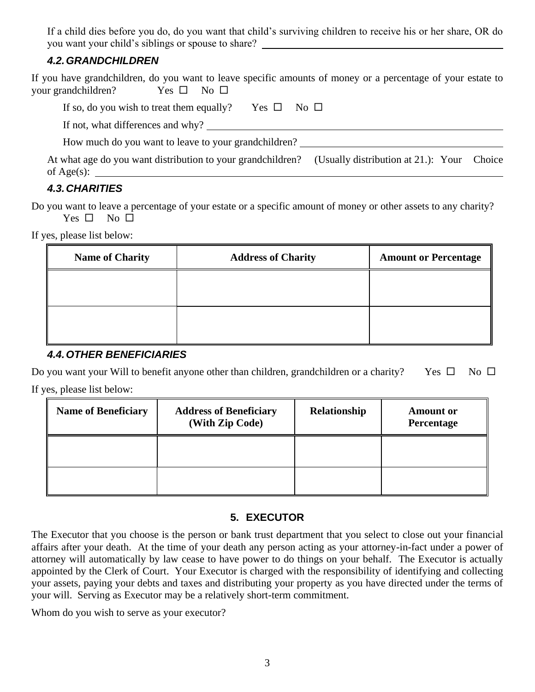If a child dies before you do, do you want that child's surviving children to receive his or her share, OR do you want your child's siblings or spouse to share?

### *4.2.GRANDCHILDREN*

If you have grandchildren, do you want to leave specific amounts of money or a percentage of your estate to your grandchildren? Yes  $\square$  No  $\square$ 

| If so, do you wish to treat them equally?                                                                            | $Yes \Box No \Box$ |  |  |
|----------------------------------------------------------------------------------------------------------------------|--------------------|--|--|
| If not, what differences and why?                                                                                    |                    |  |  |
| How much do you want to leave to your grandchildren?                                                                 |                    |  |  |
| At what age do you want distribution to your grandchildren? (Usually distribution at 21.): Your Choice<br>of Age(s): |                    |  |  |

## *4.3.CHARITIES*

Do you want to leave a percentage of your estate or a specific amount of money or other assets to any charity? Yes  $\square$  No  $\square$ 

If yes, please list below:

#### *4.4.OTHER BENEFICIARIES*

Do you want your Will to benefit anyone other than children, grandchildren or a charity? Yes  $\Box$  No  $\Box$ If yes, please list below:

| <b>Name of Beneficiary</b> | <b>Address of Beneficiary</b><br>(With Zip Code) | Relationship | <b>Amount or</b><br>Percentage |
|----------------------------|--------------------------------------------------|--------------|--------------------------------|
|                            |                                                  |              |                                |
|                            |                                                  |              |                                |

### **5. EXECUTOR**

The Executor that you choose is the person or bank trust department that you select to close out your financial affairs after your death. At the time of your death any person acting as your attorney-in-fact under a power of attorney will automatically by law cease to have power to do things on your behalf. The Executor is actually appointed by the Clerk of Court. Your Executor is charged with the responsibility of identifying and collecting your assets, paying your debts and taxes and distributing your property as you have directed under the terms of your will. Serving as Executor may be a relatively short-term commitment.

Whom do you wish to serve as your executor?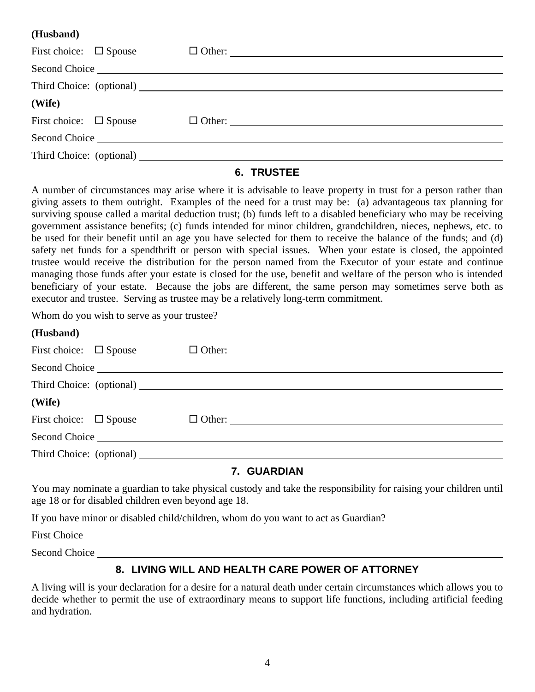#### **(Husband)**

| First choice: $\Box$ Spouse |  |
|-----------------------------|--|
|                             |  |
|                             |  |
| (Wife)                      |  |
| First choice: $\Box$ Spouse |  |
|                             |  |
|                             |  |

#### **6. TRUSTEE**

A number of circumstances may arise where it is advisable to leave property in trust for a person rather than giving assets to them outright. Examples of the need for a trust may be: (a) advantageous tax planning for surviving spouse called a marital deduction trust; (b) funds left to a disabled beneficiary who may be receiving government assistance benefits; (c) funds intended for minor children, grandchildren, nieces, nephews, etc. to be used for their benefit until an age you have selected for them to receive the balance of the funds; and (d) safety net funds for a spendthrift or person with special issues. When your estate is closed, the appointed trustee would receive the distribution for the person named from the Executor of your estate and continue managing those funds after your estate is closed for the use, benefit and welfare of the person who is intended beneficiary of your estate. Because the jobs are different, the same person may sometimes serve both as executor and trustee. Serving as trustee may be a relatively long-term commitment.

Whom do you wish to serve as your trustee?

| (Husband)                      |                      |
|--------------------------------|----------------------|
| First choice: $\square$ Spouse |                      |
|                                |                      |
|                                |                      |
| (Wife)                         |                      |
| First choice: $\square$ Spouse | $\Box$ Other: $\Box$ |
|                                |                      |
|                                |                      |
|                                | AULARRIANI           |

#### **7. GUARDIAN**

You may nominate a guardian to take physical custody and take the responsibility for raising your children until age 18 or for disabled children even beyond age 18.

If you have minor or disabled child/children, whom do you want to act as Guardian?

First Choice

**(Husband)**

Second Choice **Second** Choice **Second** Choice **Second** Choice **Second** Choice **Second** 

#### **8. LIVING WILL AND HEALTH CARE POWER OF ATTORNEY**

A living will is your declaration for a desire for a natural death under certain circumstances which allows you to decide whether to permit the use of extraordinary means to support life functions, including artificial feeding and hydration.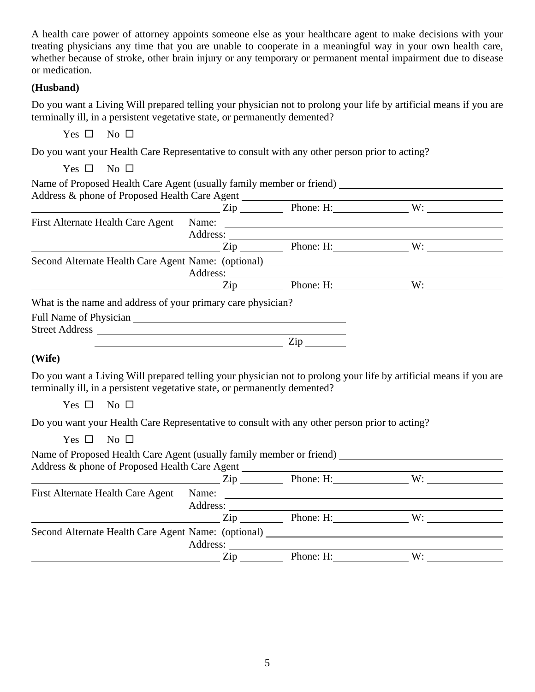A health care power of attorney appoints someone else as your healthcare agent to make decisions with your treating physicians any time that you are unable to cooperate in a meaningful way in your own health care, whether because of stroke, other brain injury or any temporary or permanent mental impairment due to disease or medication.

#### **(Husband)**

Do you want a Living Will prepared telling your physician not to prolong your life by artificial means if you are terminally ill, in a persistent vegetative state, or permanently demented?

Yes  $\square$  No  $\square$ 

Do you want your Health Care Representative to consult with any other person prior to acting?

Yes  $\square$  No  $\square$ 

| Address:                          |     |                                                              |                                                                                                                                                                                                                                                                                                                                                                                                                                                                                                                                                                                     |
|-----------------------------------|-----|--------------------------------------------------------------|-------------------------------------------------------------------------------------------------------------------------------------------------------------------------------------------------------------------------------------------------------------------------------------------------------------------------------------------------------------------------------------------------------------------------------------------------------------------------------------------------------------------------------------------------------------------------------------|
|                                   |     |                                                              |                                                                                                                                                                                                                                                                                                                                                                                                                                                                                                                                                                                     |
|                                   |     |                                                              |                                                                                                                                                                                                                                                                                                                                                                                                                                                                                                                                                                                     |
|                                   |     |                                                              |                                                                                                                                                                                                                                                                                                                                                                                                                                                                                                                                                                                     |
|                                   |     |                                                              |                                                                                                                                                                                                                                                                                                                                                                                                                                                                                                                                                                                     |
|                                   |     |                                                              |                                                                                                                                                                                                                                                                                                                                                                                                                                                                                                                                                                                     |
|                                   |     |                                                              |                                                                                                                                                                                                                                                                                                                                                                                                                                                                                                                                                                                     |
|                                   |     |                                                              |                                                                                                                                                                                                                                                                                                                                                                                                                                                                                                                                                                                     |
|                                   | Zip |                                                              |                                                                                                                                                                                                                                                                                                                                                                                                                                                                                                                                                                                     |
| First Alternate Health Care Agent |     | What is the name and address of your primary care physician? | $\frac{1}{2}$ $\frac{1}{2}$ $\frac{1}{2}$ $\frac{1}{2}$ $\frac{1}{2}$ $\frac{1}{2}$ $\frac{1}{2}$ $\frac{1}{2}$ $\frac{1}{2}$ $\frac{1}{2}$ $\frac{1}{2}$ $\frac{1}{2}$ $\frac{1}{2}$ $\frac{1}{2}$ $\frac{1}{2}$ $\frac{1}{2}$ $\frac{1}{2}$ $\frac{1}{2}$ $\frac{1}{2}$ $\frac{1}{2}$ $\frac{1}{2}$ $\frac{1}{2}$<br><u> 1980 - Andrea Albert III, politik a postal de la provincia de la provincia de la provincia de la provincia d</u><br>$\chi$ zip Phone: H: W:<br>Second Alternate Health Care Agent Name: (optional) ____________________________<br>$Zip$ Phone: H:<br>W: |

#### **(Wife)**

Do you want a Living Will prepared telling your physician not to prolong your life by artificial means if you are terminally ill, in a persistent vegetative state, or permanently demented?

Yes  $\square$  No  $\square$ 

Do you want your Health Care Representative to consult with any other person prior to acting?

Yes  $\square$  No  $\square$ 

Name of Proposed Health Care Agent (usually family member or friend) Address & phone of Proposed Health Care Agent

|                                                     | Zip      | Phone: H: | W: |  |
|-----------------------------------------------------|----------|-----------|----|--|
| First Alternate Health Care Agent                   | Name:    |           |    |  |
|                                                     | Address: |           |    |  |
|                                                     | Zin      | Phone: H: | W: |  |
| Second Alternate Health Care Agent Name: (optional) |          |           |    |  |
|                                                     | Address: |           |    |  |
|                                                     | Zip      | Phone: H: | W۰ |  |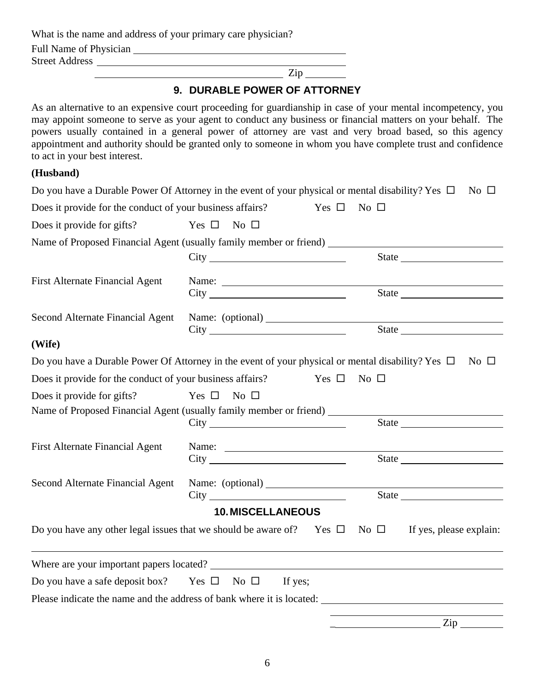What is the name and address of your primary care physician?

Full Name of Physician

Street Address

Zip

# **9. DURABLE POWER OF ATTORNEY**

As an alternative to an expensive court proceeding for guardianship in case of your mental incompetency, you may appoint someone to serve as your agent to conduct any business or financial matters on your behalf. The powers usually contained in a general power of attorney are vast and very broad based, so this agency appointment and authority should be granted only to someone in whom you have complete trust and confidence to act in your best interest.

#### **(Husband)**

|                                                                    | Do you have a Durable Power Of Attorney in the event of your physical or mental disability? Yes $\Box$                                                                                                                                                                                                                                                                                                                                            | $\rm No$ $\Box$                                                          |
|--------------------------------------------------------------------|---------------------------------------------------------------------------------------------------------------------------------------------------------------------------------------------------------------------------------------------------------------------------------------------------------------------------------------------------------------------------------------------------------------------------------------------------|--------------------------------------------------------------------------|
| Does it provide for the conduct of your business affairs?          | Yes $\Box$                                                                                                                                                                                                                                                                                                                                                                                                                                        | No $\square$                                                             |
| Does it provide for gifts?                                         | Yes $\square$ No $\square$                                                                                                                                                                                                                                                                                                                                                                                                                        |                                                                          |
|                                                                    | Name of Proposed Financial Agent (usually family member or friend) ________                                                                                                                                                                                                                                                                                                                                                                       |                                                                          |
|                                                                    |                                                                                                                                                                                                                                                                                                                                                                                                                                                   |                                                                          |
| <b>First Alternate Financial Agent</b>                             | Name: $\frac{1}{\sqrt{1-\frac{1}{2}} \cdot \frac{1}{2} \cdot \frac{1}{2} \cdot \frac{1}{2} \cdot \frac{1}{2} \cdot \frac{1}{2} \cdot \frac{1}{2} \cdot \frac{1}{2} \cdot \frac{1}{2} \cdot \frac{1}{2} \cdot \frac{1}{2} \cdot \frac{1}{2} \cdot \frac{1}{2} \cdot \frac{1}{2} \cdot \frac{1}{2} \cdot \frac{1}{2} \cdot \frac{1}{2} \cdot \frac{1}{2} \cdot \frac{1}{2} \cdot \frac{1}{2} \cdot \frac{1}{2} \cdot \frac{1}{2} \cdot \frac{1}{2}$ | <u> 1980 - Johann Barn, mars an t-Amerikaansk kommunister (</u><br>State |
| Second Alternate Financial Agent                                   | Name: (optional)<br>City                                                                                                                                                                                                                                                                                                                                                                                                                          |                                                                          |
| (Wife)                                                             |                                                                                                                                                                                                                                                                                                                                                                                                                                                   |                                                                          |
|                                                                    | Do you have a Durable Power Of Attorney in the event of your physical or mental disability? Yes $\Box$ No $\Box$                                                                                                                                                                                                                                                                                                                                  |                                                                          |
| Does it provide for the conduct of your business affairs?          | Yes $\Box$                                                                                                                                                                                                                                                                                                                                                                                                                                        | No $\square$                                                             |
| Does it provide for gifts?                                         | Yes $\square$<br>No $\square$<br>Name of Proposed Financial Agent (usually family member or friend)                                                                                                                                                                                                                                                                                                                                               |                                                                          |
|                                                                    |                                                                                                                                                                                                                                                                                                                                                                                                                                                   | <u> 1989 - Johann Stoff, Amerikaansk politiker (</u><br>State            |
| <b>First Alternate Financial Agent</b>                             | City                                                                                                                                                                                                                                                                                                                                                                                                                                              |                                                                          |
| Second Alternate Financial Agent                                   | Name: (optional)                                                                                                                                                                                                                                                                                                                                                                                                                                  |                                                                          |
|                                                                    |                                                                                                                                                                                                                                                                                                                                                                                                                                                   | State                                                                    |
|                                                                    | <b>10. MISCELLANEOUS</b><br>Do you have any other legal issues that we should be aware of? Yes $\square$ No $\square$                                                                                                                                                                                                                                                                                                                             | If yes, please explain:                                                  |
|                                                                    | Where are your important papers located?                                                                                                                                                                                                                                                                                                                                                                                                          |                                                                          |
| Do you have a safe deposit box? Yes $\square$ No $\square$ If yes; |                                                                                                                                                                                                                                                                                                                                                                                                                                                   |                                                                          |
|                                                                    | Please indicate the name and the address of bank where it is located:                                                                                                                                                                                                                                                                                                                                                                             |                                                                          |
|                                                                    |                                                                                                                                                                                                                                                                                                                                                                                                                                                   |                                                                          |
|                                                                    |                                                                                                                                                                                                                                                                                                                                                                                                                                                   | Zip.                                                                     |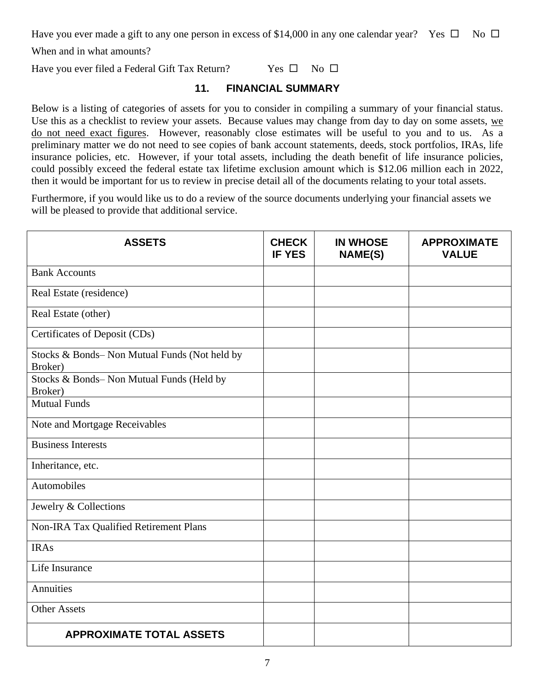Have you ever made a gift to any one person in excess of \$14,000 in any one calendar year? Yes  $\Box$  No  $\Box$ 

When and in what amounts?

Have you ever filed a Federal Gift Tax Return? Yes  $\square$  No  $\square$ 

### **11. FINANCIAL SUMMARY**

Below is a listing of categories of assets for you to consider in compiling a summary of your financial status. Use this as a checklist to review your assets. Because values may change from day to day on some assets, we do not need exact figures. However, reasonably close estimates will be useful to you and to us. As a preliminary matter we do not need to see copies of bank account statements, deeds, stock portfolios, IRAs, life insurance policies, etc. However, if your total assets, including the death benefit of life insurance policies, could possibly exceed the federal estate tax lifetime exclusion amount which is \$12.06 million each in 2022, then it would be important for us to review in precise detail all of the documents relating to your total assets.

Furthermore, if you would like us to do a review of the source documents underlying your financial assets we will be pleased to provide that additional service.

| <b>ASSETS</b>                                           | <b>CHECK</b><br><b>IF YES</b> | <b>IN WHOSE</b><br><b>NAME(S)</b> | <b>APPROXIMATE</b><br><b>VALUE</b> |
|---------------------------------------------------------|-------------------------------|-----------------------------------|------------------------------------|
| <b>Bank Accounts</b>                                    |                               |                                   |                                    |
| Real Estate (residence)                                 |                               |                                   |                                    |
| Real Estate (other)                                     |                               |                                   |                                    |
| Certificates of Deposit (CDs)                           |                               |                                   |                                    |
| Stocks & Bonds-Non Mutual Funds (Not held by<br>Broker) |                               |                                   |                                    |
| Stocks & Bonds-Non Mutual Funds (Held by<br>Broker)     |                               |                                   |                                    |
| <b>Mutual Funds</b>                                     |                               |                                   |                                    |
| Note and Mortgage Receivables                           |                               |                                   |                                    |
| <b>Business Interests</b>                               |                               |                                   |                                    |
| Inheritance, etc.                                       |                               |                                   |                                    |
| Automobiles                                             |                               |                                   |                                    |
| Jewelry & Collections                                   |                               |                                   |                                    |
| Non-IRA Tax Qualified Retirement Plans                  |                               |                                   |                                    |
| <b>IRAs</b>                                             |                               |                                   |                                    |
| Life Insurance                                          |                               |                                   |                                    |
| Annuities                                               |                               |                                   |                                    |
| <b>Other Assets</b>                                     |                               |                                   |                                    |
| <b>APPROXIMATE TOTAL ASSETS</b>                         |                               |                                   |                                    |